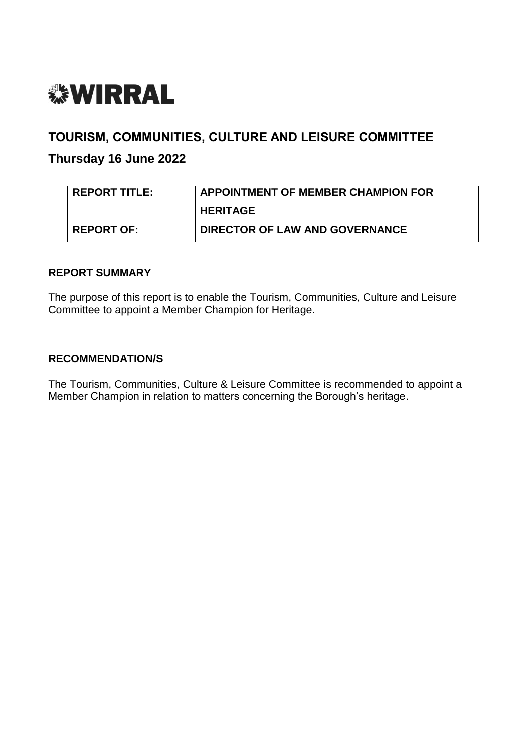

# **TOURISM, COMMUNITIES, CULTURE AND LEISURE COMMITTEE**

# **Thursday 16 June 2022**

| <b>REPORT TITLE:</b> | <b>APPOINTMENT OF MEMBER CHAMPION FOR</b> |  |
|----------------------|-------------------------------------------|--|
|                      | <b>HERITAGE</b>                           |  |
| <b>REPORT OF:</b>    | DIRECTOR OF LAW AND GOVERNANCE            |  |

# **REPORT SUMMARY**

The purpose of this report is to enable the Tourism, Communities, Culture and Leisure Committee to appoint a Member Champion for Heritage.

#### **RECOMMENDATION/S**

The Tourism, Communities, Culture & Leisure Committee is recommended to appoint a Member Champion in relation to matters concerning the Borough's heritage.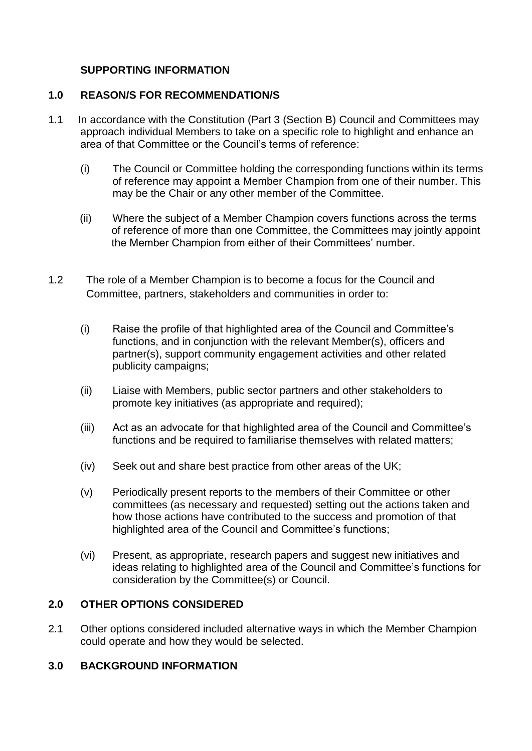# **SUPPORTING INFORMATION**

# **1.0 REASON/S FOR RECOMMENDATION/S**

- 1.1 In accordance with the Constitution (Part 3 (Section B) Council and Committees may approach individual Members to take on a specific role to highlight and enhance an area of that Committee or the Council's terms of reference:
	- (i) The Council or Committee holding the corresponding functions within its terms of reference may appoint a Member Champion from one of their number. This may be the Chair or any other member of the Committee.
	- (ii) Where the subject of a Member Champion covers functions across the terms of reference of more than one Committee, the Committees may jointly appoint the Member Champion from either of their Committees' number.
- 1.2 The role of a Member Champion is to become a focus for the Council and Committee, partners, stakeholders and communities in order to:
	- (i) Raise the profile of that highlighted area of the Council and Committee's functions, and in conjunction with the relevant Member(s), officers and partner(s), support community engagement activities and other related publicity campaigns;
	- (ii) Liaise with Members, public sector partners and other stakeholders to promote key initiatives (as appropriate and required);
	- (iii) Act as an advocate for that highlighted area of the Council and Committee's functions and be required to familiarise themselves with related matters;
	- (iv) Seek out and share best practice from other areas of the UK;
	- (v) Periodically present reports to the members of their Committee or other committees (as necessary and requested) setting out the actions taken and how those actions have contributed to the success and promotion of that highlighted area of the Council and Committee's functions;
	- (vi) Present, as appropriate, research papers and suggest new initiatives and ideas relating to highlighted area of the Council and Committee's functions for consideration by the Committee(s) or Council.

# **2.0 OTHER OPTIONS CONSIDERED**

2.1 Other options considered included alternative ways in which the Member Champion could operate and how they would be selected.

# **3.0 BACKGROUND INFORMATION**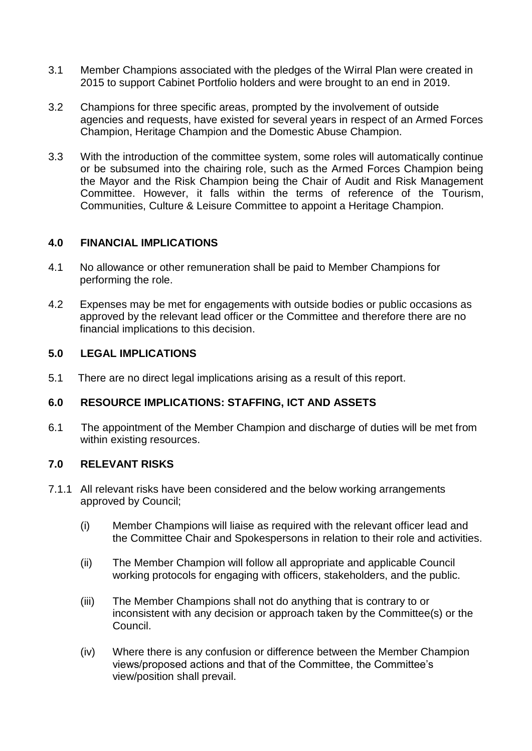- 3.1 Member Champions associated with the pledges of the Wirral Plan were created in 2015 to support Cabinet Portfolio holders and were brought to an end in 2019.
- 3.2 Champions for three specific areas, prompted by the involvement of outside agencies and requests, have existed for several years in respect of an Armed Forces Champion, Heritage Champion and the Domestic Abuse Champion.
- 3.3 With the introduction of the committee system, some roles will automatically continue or be subsumed into the chairing role, such as the Armed Forces Champion being the Mayor and the Risk Champion being the Chair of Audit and Risk Management Committee. However, it falls within the terms of reference of the Tourism, Communities, Culture & Leisure Committee to appoint a Heritage Champion.

#### **4.0 FINANCIAL IMPLICATIONS**

- 4.1 No allowance or other remuneration shall be paid to Member Champions for performing the role.
- 4.2 Expenses may be met for engagements with outside bodies or public occasions as approved by the relevant lead officer or the Committee and therefore there are no financial implications to this decision.

# **5.0 LEGAL IMPLICATIONS**

5.1 There are no direct legal implications arising as a result of this report.

# **6.0 RESOURCE IMPLICATIONS: STAFFING, ICT AND ASSETS**

6.1 The appointment of the Member Champion and discharge of duties will be met from within existing resources.

#### **7.0 RELEVANT RISKS**

- 7.1.1 All relevant risks have been considered and the below working arrangements approved by Council;
	- (i) Member Champions will liaise as required with the relevant officer lead and the Committee Chair and Spokespersons in relation to their role and activities.
	- (ii) The Member Champion will follow all appropriate and applicable Council working protocols for engaging with officers, stakeholders, and the public.
	- (iii) The Member Champions shall not do anything that is contrary to or inconsistent with any decision or approach taken by the Committee(s) or the Council.
	- (iv) Where there is any confusion or difference between the Member Champion views/proposed actions and that of the Committee, the Committee's view/position shall prevail.